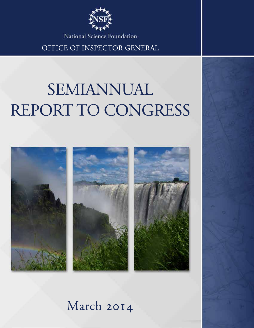

National Science Foundation

OFFICE OF INSPECTOR GENERAL

# SEMIANNUAL REPORT TO CONGRESS



# March 2014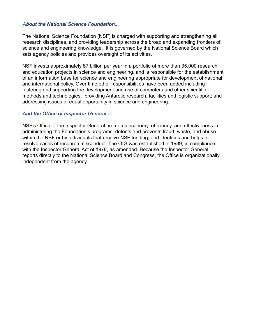# *About the National Science Foundation...*

The National Science Foundation (NSF) is charged with supporting and strengthening all research disciplines, and providing leadership across the broad and expanding frontiers of science and engineering knowledge. It is governed by the National Science Board which sets agency policies and provides oversight of its activities.

NSF invests approximately \$7 billion per year in a portfolio of more than 35,000 research and education projects in science and engineering, and is responsible for the establishment of an information base for science and engineering appropriate for development of national and international policy. Over time other responsibilities have been added including fostering and supporting the development and use of computers and other scientific methods and technologies; providing Antarctic research, facilities and logistic support; and addressing issues of equal opportunity in science and engineering.

# *And the Office of Inspector General...*

NSF's Office of the Inspector General promotes economy, efficiency, and effectiveness in administering the Foundation's programs; detects and prevents fraud, waste, and abuse within the NSF or by individuals that receive NSF funding; and identifies and helps to resolve cases of research misconduct. The OIG was established in 1989, in compliance with the Inspector General Act of 1978, as amended. Because the Inspector General reports directly to the National Science Board and Congress, the Office is organizationally independent from the agency.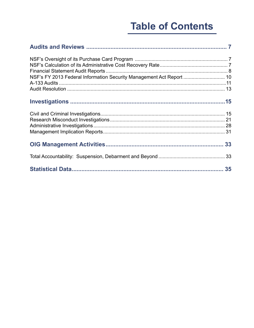# **Table of Contents**

| NSF's FY 2013 Federal Information Security Management Act Report  10 |  |
|----------------------------------------------------------------------|--|
|                                                                      |  |
|                                                                      |  |
|                                                                      |  |
|                                                                      |  |
|                                                                      |  |
|                                                                      |  |
|                                                                      |  |
|                                                                      |  |
|                                                                      |  |
|                                                                      |  |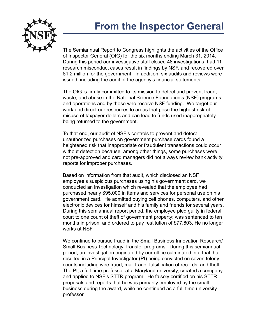# **From the Inspector General**



The Semiannual Report to Congress highlights the activities of the Office of Inspector General (OIG) for the six months ending March 31, 2014. During this period our investigative staff closed 48 investigations, had 11 research misconduct cases result in findings by NSF, and recovered over \$1.2 million for the government. In addition, six audits and reviews were issued, including the audit of the agency's financial statements.

The OIG is firmly committed to its mission to detect and prevent fraud, waste, and abuse in the National Science Foundation's (NSF) programs and operations and by those who receive NSF funding. We target our work and direct our resources to areas that pose the highest risk of misuse of taxpayer dollars and can lead to funds used inappropriately being returned to the government.

To that end, our audit of NSF's controls to prevent and detect unauthorized purchases on government purchase cards found a heightened risk that inappropriate or fraudulent transactions could occur without detection because, among other things, some purchases were not pre-approved and card managers did not always review bank activity reports for improper purchases.

Based on information from that audit, which disclosed an NSF employee's suspicious purchases using his government card, we conducted an investigation which revealed that the employee had purchased nearly \$95,000 in items and services for personal use on his government card. He admitted buying cell phones, computers, and other electronic devices for himself and his family and friends for several years. During this semiannual report period, the employee pled guilty in federal court to one count of theft of government property; was sentenced to ten months in prison; and ordered to pay restitution of \$77,803. He no longer works at NSF.

We continue to pursue fraud in the Small Business Innovation Research/ Small Business Technology Transfer programs. During this semiannual period, an investigation originated by our office culminated in a trial that resulted in a Principal Investigator (PI) being convicted on seven felony counts including wire fraud, mail fraud, falsification of records, and theft. The PI, a full-time professor at a Maryland university, created a company and applied to NSF's STTR program. He falsely certified on his STTR proposals and reports that he was primarily employed by the small business during the award, while he continued as a full-time university professor.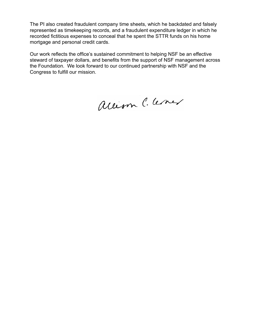The PI also created fraudulent company time sheets, which he backdated and falsely represented as timekeeping records, and a fraudulent expenditure ledger in which he recorded fictitious expenses to conceal that he spent the STTR funds on his home mortgage and personal credit cards.

Our work reflects the office's sustained commitment to helping NSF be an effective steward of taxpayer dollars, and benefits from the support of NSF management across the Foundation. We look forward to our continued partnership with NSF and the Congress to fulfill our mission.

Allison C. lener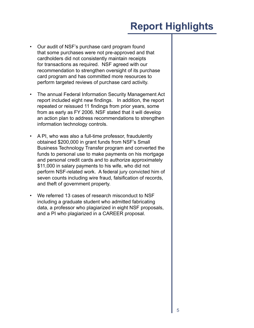# **Report Highlights**

- Our audit of NSF's purchase card program found that some purchases were not pre-approved and that cardholders did not consistently maintain receipts for transactions as required. NSF agreed with our recommendation to strengthen oversight of its purchase card program and has committed more resources to perform targeted reviews of purchase card activity.
- The annual Federal Information Security Management Act report included eight new findings. In addition, the report repeated or reissued 11 findings from prior years, some from as early as FY 2006. NSF stated that it will develop an action plan to address recommendations to strengthen information technology controls.
- A PI, who was also a full-time professor, fraudulently obtained \$200,000 in grant funds from NSF's Small Business Technology Transfer program and converted the funds to personal use to make payments on his mortgage and personal credit cards and to authorize approximately \$11,000 in salary payments to his wife, who did not perform NSF-related work. A federal jury convicted him of seven counts including wire fraud, falsification of records, and theft of government property.
- We referred 13 cases of research misconduct to NSF including a graduate student who admitted fabricating data, a professor who plagiarized in eight NSF proposals, and a PI who plagiarized in a CAREER proposal.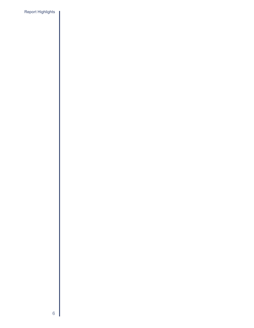Report Highlights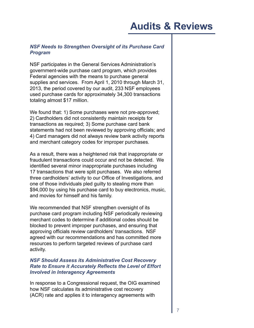# *NSF Needs to Strengthen Oversight of its Purchase Card Program*

NSF participates in the General Services Administration's government-wide purchase card program, which provides Federal agencies with the means to purchase general supplies and services. From April 1, 2010 through March 31, 2013, the period covered by our audit, 233 NSF employees used purchase cards for approximately 34,300 transactions totaling almost \$17 million.

We found that: 1) Some purchases were not pre-approved; 2) Cardholders did not consistently maintain receipts for transactions as required; 3) Some purchase card bank statements had not been reviewed by approving officials; and 4) Card managers did not always review bank activity reports and merchant category codes for improper purchases.

As a result, there was a heightened risk that inappropriate or fraudulent transactions could occur and not be detected. We identified several minor inappropriate purchases including 17 transactions that were split purchases. We also referred three cardholders' activity to our Office of Investigations, and one of those individuals pled guilty to stealing more than \$94,000 by using his purchase card to buy electronics, music, and movies for himself and his family.

We recommended that NSF strengthen oversight of its purchase card program including NSF periodically reviewing merchant codes to determine if additional codes should be blocked to prevent improper purchases, and ensuring that approving officials review cardholders' transactions. NSF agreed with our recommendations and has committed more resources to perform targeted reviews of purchase card activity.

#### *NSF Should Assess its Administrative Cost Recovery Rate to Ensure it Accurately Reflects the Level of Effort Involved in Interagency Agreements*

In response to a Congressional request, the OIG examined how NSF calculates its administrative cost recovery (ACR) rate and applies it to interagency agreements with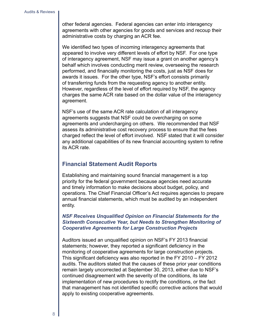other federal agencies. Federal agencies can enter into interagency agreements with other agencies for goods and services and recoup their administrative costs by charging an ACR fee.

We identified two types of incoming interagency agreements that appeared to involve very different levels of effort by NSF. For one type of interagency agreement, NSF may issue a grant on another agency's behalf which involves conducting merit review, overseeing the research performed, and financially monitoring the costs, just as NSF does for awards it issues. For the other type, NSF's effort consists primarily of transferring funds from the requesting agency to another entity. However, regardless of the level of effort required by NSF, the agency charges the same ACR rate based on the dollar value of the interagency agreement.

NSF's use of the same ACR rate calculation of all interagency agreements suggests that NSF could be overcharging on some agreements and undercharging on others. We recommended that NSF assess its administrative cost recovery process to ensure that the fees charged reflect the level of effort involved. NSF stated that it will consider any additional capabilities of its new financial accounting system to refine its ACR rate.

# **Financial Statement Audit Reports**

Establishing and maintaining sound financial management is a top priority for the federal government because agencies need accurate and timely information to make decisions about budget, policy, and operations. The Chief Financial Officer's Act requires agencies to prepare annual financial statements, which must be audited by an independent entity.

# *NSF Receives Unqualified Opinion on Financial Statements for the Sixteenth Consecutive Year, but Needs to Strengthen Monitoring of Cooperative Agreements for Large Construction Projects*

Auditors issued an unqualified opinion on NSF's FY 2013 financial statements; however, they reported a significant deficiency in the monitoring of cooperative agreements for large construction projects. This significant deficiency was also reported in the FY 2010 – FY 2012 audits. The auditors stated that the causes of these prior year conditions remain largely uncorrected at September 30, 2013, either due to NSF's continued disagreement with the severity of the conditions, its late implementation of new procedures to rectify the conditions, or the fact that management has not identified specific corrective actions that would apply to existing cooperative agreements.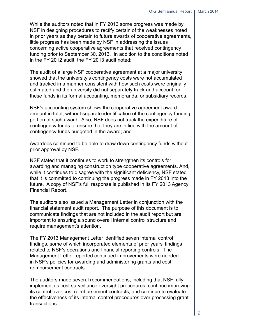While the auditors noted that in FY 2013 some progress was made by NSF in designing procedures to rectify certain of the weaknesses noted in prior years as they pertain to future awards of cooperative agreements, little progress has been made by NSF in addressing the issues concerning active cooperative agreements that received contingency funding prior to September 30, 2013. In addition to the conditions noted in the FY 2012 audit, the FY 2013 audit noted:

The audit of a large NSF cooperative agreement at a major university showed that the university's contingency costs were not accumulated and tracked in a manner consistent with how such costs were originally estimated and the university did not separately track and account for these funds in its formal accounting, memoranda, or subsidiary records.

NSF's accounting system shows the cooperative agreement award amount in total, without separate identification of the contingency funding portion of such award. Also, NSF does not track the expenditure of contingency funds to ensure that they are in line with the amount of contingency funds budgeted in the award; and

Awardees continued to be able to draw down contingency funds without prior approval by NSF.

NSF stated that it continues to work to strengthen its controls for awarding and managing construction type cooperative agreements. And, while it continues to disagree with the significant deficiency, NSF stated that it is committed to continuing the progress made in FY 2013 into the future. A copy of NSF's full response is published in its FY 2013 Agency Financial Report.

The auditors also issued a Management Letter in conjunction with the financial statement audit report. The purpose of this document is to communicate findings that are not included in the audit report but are important to ensuring a sound overall internal control structure and require management's attention.

The FY 2013 Management Letter identified seven internal control findings, some of which incorporated elements of prior years' findings related to NSF's operations and financial reporting controls. The Management Letter reported continued improvements were needed in NSF's policies for awarding and administering grants and cost reimbursement contracts.

The auditors made several recommendations, including that NSF fully implement its cost surveillance oversight procedures, continue improving its control over cost reimbursement contracts, and continue to evaluate the effectiveness of its internal control procedures over processing grant transactions.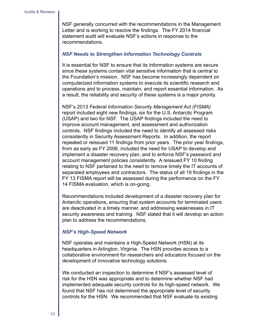NSF generally concurred with the recommendations in the Management Letter and is working to resolve the findings. The FY 2014 financial statement audit will evaluate NSF's actions in response to the recommendations.

#### *NSF Needs to Strengthen Information Technology Controls*

It is essential for NSF to ensure that its information systems are secure since these systems contain vital sensitive information that is central to the Foundation's mission. NSF has become increasingly dependent on computerized information systems to execute its scientific research and operations and to process, maintain, and report essential information. As a result, the reliability and security of these systems is a major priority.

NSF's 2013 *Federal Information Security Management Act (FISMA)*  report included eight new findings, six for the U.S. Antarctic Program (USAP) and two for NSF. The USAP findings included the need to improve account management, and assessment and authorization controls. NSF findings included the need to identify all assessed risks consistently in Security Assessment Reports. In addition, the report repeated or reissued 11 findings from prior years. The prior year findings, from as early as FY 2006, included the need for USAP to develop and implement a disaster recovery plan, and to enforce NSF's password and account management policies consistently. A reissued FY 10 finding relating to NSF pertained to the need to remove timely the IT accounts of separated employees and contractors. The status of all 19 findings in the FY 13 FISMA report will be assessed during the performance on the FY 14 FISMA evaluation, which is on-going.

Recommendations included development of a disaster recovery plan for Antarctic operations, ensuring that system accounts for terminated users are deactivated in a timely manner, and addressing weaknesses in IT security awareness and training. NSF stated that it will develop an action plan to address the recommendations.

# *NSF's High-Speed Network*

NSF operates and maintains a High-Speed Network (HSN) at its headquarters in Arlington, Virginia. The HSN provides access to a collaborative environment for researchers and educators focused on the development of innovative technology solutions.

We conducted an inspection to determine if NSF's assessed level of risk for the HSN was appropriate and to determine whether NSF had implemented adequate security controls for its high-speed network. We found that NSF has not determined the appropriate level of security controls for the HSN. We recommended that NSF evaluate its existing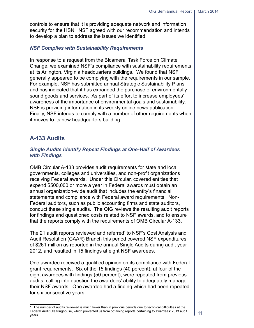controls to ensure that it is providing adequate network and information security for the HSN. NSF agreed with our recommendation and intends to develop a plan to address the issues we identified.

#### *NSF Complies with Sustainability Requirements*

In response to a request from the Bicameral Task Force on Climate Change, we examined NSF's compliance with sustainability requirements at its Arlington, Virginia headquarters buildings. We found that NSF generally appeared to be complying with the requirements in our sample. For example, NSF has submitted annual Strategic Sustainability Plans and has indicated that it has expanded the purchase of environmentally sound goods and services. As part of its effort to increase employees' awareness of the importance of environmental goals and sustainability, NSF is providing information in its weekly online news publication. Finally, NSF intends to comply with a number of other requirements when it moves to its new headquarters building.

# **A-133 Audits**

# *Single Audits Identify Repeat Findings at One-Half of Awardees with Findings*

OMB Circular A-133 provides audit requirements for state and local governments, colleges and universities, and non-profit organizations receiving Federal awards. Under this Circular, covered entities that expend \$500,000 or more a year in Federal awards must obtain an annual organization-wide audit that includes the entity's financial statements and compliance with Federal award requirements. Non-Federal auditors, such as public accounting firms and state auditors, conduct these single audits. The OIG reviews the resulting audit reports for findings and questioned costs related to NSF awards, and to ensure that the reports comply with the requirements of OMB Circular A-133.

The 21 audit reports reviewed and referred<sup>1</sup> to NSF's Cost Analysis and Audit Resolution (CAAR) Branch this period covered NSF expenditures of \$261 million as reported in the annual Single Audits during audit year 2012, and resulted in 15 findings at eight NSF awardees.

One awardee received a qualified opinion on its compliance with Federal grant requirements. Six of the 15 findings (40 percent), at four of the eight awardees with findings (50 percent), were repeated from previous audits, calling into question the awardees' ability to adequately manage their NSF awards. One awardee had a finding which had been repeated for six consecutive years.

<sup>1</sup> The number of audits reviewed is much lower than in previous periods due to technical difficulties at the Federal Audit Clearinghouse, which prevented us from obtaining reports pertaining to awardees' 2013 audit years.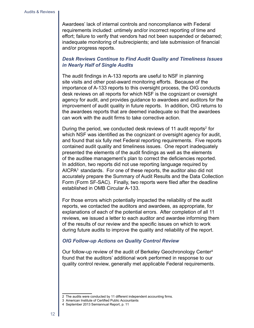Awardees' lack of internal controls and noncompliance with Federal requirements included: untimely and/or incorrect reporting of time and effort; failure to verify that vendors had not been suspended or debarred; inadequate monitoring of subrecipients; and late submission of financial and/or progress reports.

# *Desk Reviews Continue to Find Audit Quality and Timeliness Issues in Nearly Half of Single Audits*

The audit findings in A-133 reports are useful to NSF in planning site visits and other post-award monitoring efforts. Because of the importance of A-133 reports to this oversight process, the OIG conducts desk reviews on all reports for which NSF is the cognizant or oversight agency for audit, and provides guidance to awardees and auditors for the improvement of audit quality in future reports. In addition, OIG returns to the awardees reports that are deemed inadequate so that the awardees can work with the audit firms to take corrective action.

During the period, we conducted desk reviews of 11 audit reports<sup>2</sup> for which NSF was identified as the cognizant or oversight agency for audit, and found that six fully met Federal reporting requirements. Five reports contained audit quality and timeliness issues. One report inadequately presented the elements of the audit findings as well as the elements of the auditee management's plan to correct the deficiencies reported. In addition, two reports did not use reporting language required by AICPA3 standards. For one of these reports, the auditor also did not accurately prepare the Summary of Audit Results and the Data Collection Form (Form SF-SAC). Finally, two reports were filed after the deadline established in OMB Circular A-133.

For those errors which potentially impacted the reliability of the audit reports, we contacted the auditors and awardees, as appropriate, for explanations of each of the potential errors. After completion of all 11 reviews, we issued a letter to each auditor and awardee informing them of the results of our review and the specific issues on which to work during future audits to improve the quality and reliability of the report.

# *OIG Follow-up Actions on Quality Control Review*

Our follow-up review of the audit of Berkeley Geochronology Center4 found that the auditors' additional work performed in response to our quality control review, generally met applicable Federal requirements.

<sup>2</sup> The audits were conducted by 11 different independent accounting firms.

<sup>3</sup> American Institute of Certified Public Accountants

<sup>4</sup> September 2013 Semiannual Report, p. 11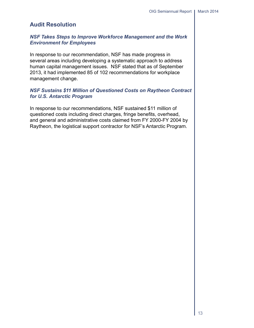# **Audit Resolution**

# *NSF Takes Steps to Improve Workforce Management and the Work Environment for Employees*

In response to our recommendation, NSF has made progress in several areas including developing a systematic approach to address human capital management issues. NSF stated that as of September 2013, it had implemented 85 of 102 recommendations for workplace management change.

# *NSF Sustains \$11 Million of Questioned Costs on Raytheon Contract for U.S. Antarctic Program*

In response to our recommendations, NSF sustained \$11 million of questioned costs including direct charges, fringe benefits, overhead, and general and administrative costs claimed from FY 2000-FY 2004 by Raytheon, the logistical support contractor for NSF's Antarctic Program.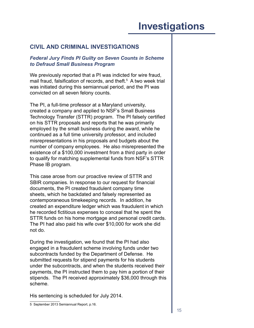# **CIVIL AND CRIMINAL INVESTIGATIONS**

# *Federal Jury Finds PI Guilty on Seven Counts in Scheme to Defraud Small Business Program*

mail fraud, falsification of records, and theft.<sup>5</sup> A two week trial We previously reported that a PI was indicted for wire fraud, was initiated during this semiannual period, and the PI was convicted on all seven felony counts.

The PI, a full-time professor at a Maryland university, created a company and applied to NSF's Small Business Technology Transfer (STTR) program. The PI falsely certified on his STTR proposals and reports that he was primarily employed by the small business during the award, while he continued as a full time university professor, and included misrepresentations in his proposals and budgets about the number of company employees. He also misrepresented the existence of a \$100,000 investment from a third party in order to qualify for matching supplemental funds from NSF's STTR Phase IB program.

This case arose from our proactive review of STTR and SBIR companies. In response to our request for financial documents, the PI created fraudulent company time sheets, which he backdated and falsely represented as contemporaneous timekeeping records. In addition, he created an expenditure ledger which was fraudulent in which he recorded fictitious expenses to conceal that he spent the STTR funds on his home mortgage and personal credit cards. The PI had also paid his wife over \$10,000 for work she did not do.

During the investigation, we found that the PI had also engaged in a fraudulent scheme involving funds under two subcontracts funded by the Department of Defense. He submitted requests for stipend payments for his students under the subcontracts, and when the students received their payments, the PI instructed them to pay him a portion of their stipends. The PI received approximately \$36,000 through this scheme.

His sentencing is scheduled for July 2014.

<sup>5</sup> September 2013 Semiannual Report, p.16.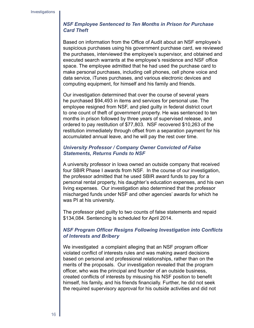# *NSF Employee Sentenced to Ten Months in Prison for Purchase Card Theft*

Based on information from the Office of Audit about an NSF employee's suspicious purchases using his government purchase card, we reviewed the purchases, interviewed the employee's supervisor, and obtained and executed search warrants at the employee's residence and NSF office space. The employee admitted that he had used the purchase card to make personal purchases, including cell phones, cell phone voice and data service, iTunes purchases, and various electronic devices and computing equipment, for himself and his family and friends.

Our investigation determined that over the course of several years he purchased \$94,493 in items and services for personal use. The employee resigned from NSF, and pled guilty in federal district court to one count of theft of government property. He was sentenced to ten months in prison followed by three years of supervised release, and ordered to pay restitution of \$77,803. NSF recovered \$10,263 of the restitution immediately through offset from a separation payment for his accumulated annual leave, and he will pay the rest over time.

# *University Professor / Company Owner Convicted of False Statements, Returns Funds to NSF*

A university professor in Iowa owned an outside company that received four SBIR Phase I awards from NSF. In the course of our investigation, the professor admitted that he used SBIR award funds to pay for a personal rental property, his daughter's education expenses, and his own living expenses. Our investigation also determined that the professor mischarged funds under NSF and other agencies' awards for which he was PI at his university.

The professor pled guilty to two counts of false statements and repaid \$134,084. Sentencing is scheduled for April 2014.

# *NSF Program Officer Resigns Following Investigation into Conflicts of Interests and Bribery*

We investigated a complaint alleging that an NSF program officer violated conflict of interests rules and was making award decisions based on personal and professional relationships, rather than on the merits of the proposals. Our investigation revealed that the program officer, who was the principal and founder of an outside business, created conflicts of interests by misusing his NSF position to benefit himself, his family, and his friends financially. Further, he did not seek the required supervisory approval for his outside activities and did not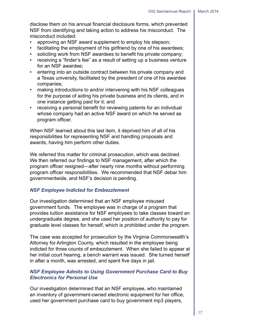disclose them on his annual financial disclosure forms, which prevented NSF from identifying and taking action to address his misconduct. The misconduct included:

- approving an NSF award supplement to employ his stepson;
- facilitating the employment of his girlfriend by one of his awardees;
- soliciting work from NSF awardees to benefit his private company;
- receiving a "finder's fee" as a result of setting up a business venture for an NSF awardee;
- entering into an outside contract between his private company and a Texas university, facilitated by the president of one of his awardee companies;
- making introductions to and/or intervening with his NSF colleagues for the purpose of aiding his private business and its clients, and in one instance getting paid for it; and
- receiving a personal benefit for reviewing patents for an individual whose company had an active NSF award on which he served as program officer.

When NSF learned about this last item, it deprived him of all of his responsibilities for representing NSF and handling proposals and awards, having him perform other duties.

We referred this matter for criminal prosecution, which was declined. We then referred our findings to NSF management, after which the program officer resigned—after nearly nine months without performing program officer responsibilities. We recommended that NSF debar him governmentwide, and NSF's decision is pending.

# *NSF Employee Indicted for Embezzlement*

Our investigation determined that an NSF employee misused government funds. The employee was in charge of a program that provides tuition assistance for NSF employees to take classes toward an undergraduate degree, and she used her position of authority to pay for graduate level classes for herself, which is prohibited under the program.

The case was accepted for prosecution by the Virginia Commonwealth's Attorney for Arlington County, which resulted in the employee being indicted for three counts of embezzlement. When she failed to appear at her initial court hearing, a bench warrant was issued. She turned herself in after a month, was arrested, and spent five days in jail.

# *NSF Employee Admits to Using Government Purchase Card to Buy Electronics for Personal Use*

Our investigation determined that an NSF employee, who maintained an inventory of government-owned electronic equipment for her office, used her government purchase card to buy government mp3 players,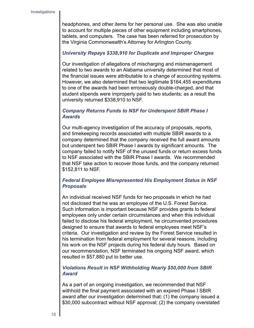headphones, and other items for her personal use. She was also unable to account for multiple pieces of other equipment including smartphones, tablets, and computers. The case has been referred for prosecution by the Virginia Commonwealth's Attorney for Arlington County.

# *University Repays \$338,910 for Duplicate and Improper Charges*

Our investigation of allegations of mischarging and mismanagement related to two awards to an Alabama university determined that most of the financial issues were attributable to a change of accounting systems. However, we also determined that two legitimate \$164,455 expenditures to one of the awards had been erroneously double-charged, and that student stipends were improperly paid to two students; as a result the university returned \$338,910 to NSF.

# *Company Returns Funds to NSF for Underspent SBIR Phase I Awards*

Our multi-agency investigation of the accuracy of proposals, reports, and timekeeping records associated with multiple SBIR awards to a company determined that the company received the full award amounts but underspent two SBIR Phase I awards by significant amounts. The company failed to notify NSF of the unused funds or return excess funds to NSF associated with the SBIR Phase I awards. We recommended that NSF take action to recover those funds, and the company returned \$152,811 to NSF.

# *Federal Employee Misrepresented His Employment Status in NSF Proposals*

An individual received NSF funds for two proposals in which he had not disclosed that he was an employee of the U.S. Forest Service. Such information is important because NSF provides grants to federal employees only under certain circumstances and when this individual failed to disclose his federal employment, he circumvented procedures designed to ensure that awards to federal employees meet NSF's criteria. Our investigation and review by the Forest Service resulted in his termination from federal employment for several reasons, including his work on the NSF projects during his federal duty hours. Based on our recommendation, NSF terminated his ongoing NSF award, which resulted in \$57,880 put to better use.

# *Violations Result in NSF Withholding Nearly \$50,000 from SBIR Award*

As a part of an ongoing investigation, we recommended that NSF withhold the final payment associated with an expired Phase I SBIR award after our investigation determined that: (1) the company issued a \$30,000 subcontract without NSF approval; (2) the company overstated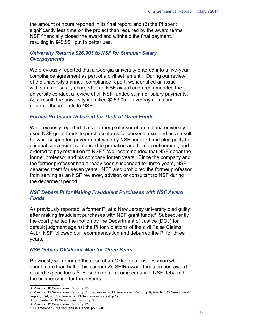the amount of hours reported in its final report; and (3) the PI spent significantly less time on the project than required by the award terms. NSF financially closed the award and withheld the final payment, resulting in \$49,991 put to better use.

# *University Returns \$26,905 to NSF for Summer Salary Overpayments*

We previously reported that a Georgia university entered into a five-year compliance agreement as part of a civil settlement.<sup>6</sup> During our review of the university's annual compliance report, we identified an issue with summer salary charged to an NSF award and recommended the university conduct a review of all NSF-funded summer salary payments. As a result, the university identified \$26,905 in overpayments and returned those funds to NSF.

# *Former Professor Debarred for Theft of Grant Funds*

We previously reported that a former professor of an Indiana university used NSF grant funds to purchase items for personal use, and as a result he was: suspended government-wide by NSF; indicted and pled guilty to criminal conversion; sentenced to probation and home confinement; and ordered to pay restitution to NSF.<sup>7</sup> We recommended that NSF debar the former professor and his company for ten years. Since the company and the former professor had already been suspended for three years, NSF debarred them for seven years. NSF also prohibited the former professor from serving as an NSF reviewer, advisor, or consultant to NSF during the debarment period.

# *NSF Debars PI for Making Fraudulent Purchases with NSF Award Funds*

As previously reported, a former PI at a New Jersey university pled guilty after making fraudulent purchases with NSF grant funds.<sup>8</sup> Subsequently, the court granted the motion by the Department of Justice (DOJ) for default judgment against the PI for violations of the civil False Claims Act.<sup>9</sup> NSF followed our recommendation and debarred the PI for three years.

# *NSF Debars Oklahoma Man for Three Years*

Previously we reported the case of an Oklahoma businessman who spent more than half of his company's SBIR award funds on non-award related expenditures.<sup>10</sup> Based on our recommendation, NSF debarred the businessman for three years.

<sup>6</sup> March 2010 Semiannual Report, p.25.

<sup>7</sup> March 2011 Semiannual Report, p.22; September 2011 Semiannual Report, p.9; March 2013 Semiannual Report, p.24; and September 2013 Semiannual Report, p.19.

<sup>8</sup> September 2011 Semiannual Report, p.9.

<sup>9</sup> March 2013 Semiannual Report, p.21.

<sup>10</sup> September 2013 Semiannual Report, pp.15-16.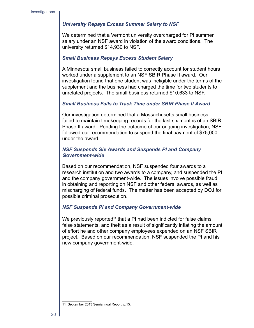# *University Repays Excess Summer Salary to NSF*

We determined that a Vermont university overcharged for PI summer salary under an NSF award in violation of the award conditions. The university returned \$14,930 to NSF.

# *Small Business Repays Excess Student Salary*

A Minnesota small business failed to correctly account for student hours worked under a supplement to an NSF SBIR Phase II award. Our investigation found that one student was ineligible under the terms of the supplement and the business had charged the time for two students to unrelated projects. The small business returned \$10,633 to NSF.

# *Small Business Fails to Track Time under SBIR Phase II Award*

Our investigation determined that a Massachusetts small business failed to maintain timekeeping records for the last six months of an SBIR Phase II award. Pending the outcome of our ongoing investigation, NSF followed our recommendation to suspend the final payment of \$75,000 under the award.

# *NSF Suspends Six Awards and Suspends PI and Company Government-wide*

Based on our recommendation, NSF suspended four awards to a research institution and two awards to a company, and suspended the PI and the company government-wide. The issues involve possible fraud in obtaining and reporting on NSF and other federal awards, as well as mischarging of federal funds. The matter has been accepted by DOJ for possible criminal prosecution.

# *NSF Suspends PI and Company Government-wide*

We previously reported<sup>11</sup> that a PI had been indicted for false claims, false statements, and theft as a result of significantly inflating the amount of effort he and other company employees expended on an NSF SBIR project. Based on our recommendation, NSF suspended the PI and his new company government-wide.

<sup>11</sup> September 2013 Semiannual Report, p.15.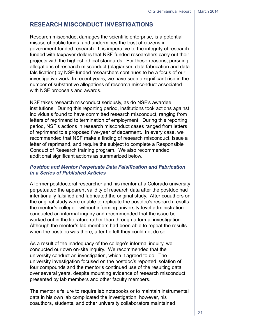# **RESEARCH MISCONDUCT INVESTIGATIONS**

Research misconduct damages the scientific enterprise, is a potential misuse of public funds, and undermines the trust of citizens in government-funded research. It is imperative to the integrity of research funded with taxpayer dollars that NSF-funded researchers carry out their projects with the highest ethical standards. For these reasons, pursuing allegations of research misconduct (plagiarism, data fabrication and data falsification) by NSF-funded researchers continues to be a focus of our investigative work. In recent years, we have seen a significant rise in the number of substantive allegations of research misconduct associated with NSF proposals and awards.

NSF takes research misconduct seriously, as do NSF's awardee institutions. During this reporting period, institutions took actions against individuals found to have committed research misconduct, ranging from letters of reprimand to termination of employment. During this reporting period, NSF's actions in research misconduct cases ranged from letters of reprimand to a proposed five-year of debarment. In every case, we recommended that NSF make a finding of research misconduct, issue a letter of reprimand, and require the subject to complete a Responsible Conduct of Research training program. We also recommended additional significant actions as summarized below.

# *Postdoc and Mentor Perpetuate Data Falsification and Fabrication In a Series of Published Articles*

A former postdoctoral researcher and his mentor at a Colorado university perpetuated the apparent validity of research data after the postdoc had intentionally falsified and fabricated the original study. After coauthors on the original study were unable to replicate the postdoc's research results, the mentor's college—without informing university-level administration conducted an informal inquiry and recommended that the issue be worked out in the literature rather than through a formal investigation. Although the mentor's lab members had been able to repeat the results when the postdoc was there, after he left they could not do so.

As a result of the inadequacy of the college's informal inquiry, we conducted our own on-site inquiry. We recommended that the university conduct an investigation, which it agreed to do. The university investigation focused on the postdoc's reported isolation of four compounds and the mentor's continued use of the resulting data over several years, despite mounting evidence of research misconduct presented by lab members and other faculty members.

The mentor's failure to require lab notebooks or to maintain instrumental data in his own lab complicated the investigation; however, his coauthors, students, and other university collaborators maintained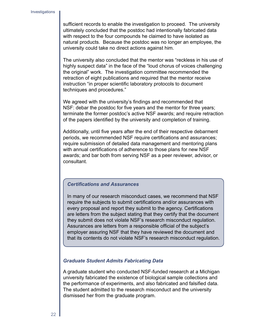sufficient records to enable the investigation to proceed. The university ultimately concluded that the postdoc had intentionally fabricated data with respect to the four compounds he claimed to have isolated as natural products. Because the postdoc was no longer an employee, the university could take no direct actions against him.

The university also concluded that the mentor was "reckless in his use of highly suspect data" in the face of the "loud chorus of voices challenging the original" work. The investigation committee recommended the retraction of eight publications and required that the mentor receive instruction "in proper scientific laboratory protocols to document techniques and procedures."

We agreed with the university's findings and recommended that NSF: debar the postdoc for five years and the mentor for three years; terminate the former postdoc's active NSF awards; and require retraction of the papers identified by the university and completion of training.

Additionally, until five years after the end of their respective debarment periods, we recommended NSF require certifications and assurances; require submission of detailed data management and mentoring plans with annual certifications of adherence to those plans for new NSF awards; and bar both from serving NSF as a peer reviewer, advisor, or consultant.

# *Certifications and Assurances*

In many of our research misconduct cases, we recommend that NSF require the subjects to submit certifications and/or assurances with every proposal and report they submit to the agency. Certifications are letters from the subject stating that they certify that the document they submit does not violate NSF's research misconduct regulation. Assurances are letters from a responsible official of the subject's employer assuring NSF that they have reviewed the document and that its contents do not violate NSF's research misconduct regulation.

# *Graduate Student Admits Fabricating Data*

A graduate student who conducted NSF-funded research at a Michigan university fabricated the existence of biological sample collections and the performance of experiments, and also fabricated and falsified data. The student admitted to the research misconduct and the university dismissed her from the graduate program.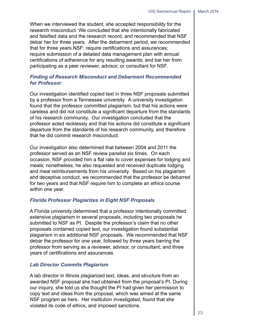When we interviewed the student, she accepted responsibility for the research misconduct. We concluded that she intentionally fabricated and falsified data and the research record, and recommended that NSF debar her for three years. After the debarment period, we recommended that for three years NSF: require certifications and assurances; require submission of a detailed data management plan with annual certifications of adherence for any resulting awards; and bar her from participating as a peer reviewer, advisor, or consultant for NSF.

# *Finding of Research Misconduct and Debarment Recommended for Professor*

Our investigation identified copied text in three NSF proposals submitted by a professor from a Tennessee university. A university investigation found that the professor committed plagiarism, but that his actions were careless and did not constitute a significant departure from the standards of his research community. Our investigation concluded that the professor acted recklessly and that his actions did constitute a significant departure from the standards of his research community, and therefore that he did commit research misconduct.

Our investigation also determined that between 2004 and 2011 the professor served as an NSF review panelist six times. On each occasion, NSF provided him a flat rate to cover expenses for lodging and meals; nonetheless, he also requested and received duplicate lodging and meal reimbursements from his university. Based on his plagiarism and deceptive conduct, we recommended that the professor be debarred for two years and that NSF require him to complete an ethics course within one year.

# *Florida Professor Plagiarizes in Eight NSF Proposals*

A Florida university determined that a professor intentionally committed extensive plagiarism in several proposals, including two proposals he submitted to NSF as PI. Despite the professor's claim that no other proposals contained copied text, our investigation found substantial plagiarism in six additional NSF proposals. We recommended that NSF debar the professor for one year, followed by three years barring the professor from serving as a reviewer, advisor, or consultant; and three years of certifications and assurances.

# *Lab Director Commits Plagiarism*

A lab director in Illinois plagiarized text, ideas, and structure from an awarded NSF proposal she had obtained from the proposal's PI. During our inquiry, she told us she thought the PI had given her permission to copy text and ideas from the proposal, which was aimed at the same NSF program as hers. Her institution investigated, found that she violated its code of ethics, and imposed sanctions.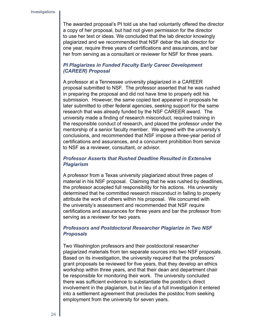The awarded proposal's PI told us she had voluntarily offered the director a copy of her proposal, but had not given permission for the director to use her text or ideas. We concluded that the lab director knowingly plagiarized and we recommended that NSF debar the lab director for one year, require three years of certifications and assurances, and bar her from serving as a consultant or reviewer for NSF for three years.

# *PI Plagiarizes in Funded Faculty Early Career Development (CAREER) Proposal*

A professor at a Tennessee university plagiarized in a CAREER proposal submitted to NSF. The professor asserted that he was rushed in preparing the proposal and did not have time to properly edit his submission. However, the same copied text appeared in proposals he later submitted to other federal agencies, seeking support for the same research that was already funded by the NSF CAREER award. The university made a finding of research misconduct, required training in the responsible conduct of research, and placed the professor under the mentorship of a senior faculty member. We agreed with the university's conclusions, and recommended that NSF impose a three-year period of certifications and assurances, and a concurrent prohibition from service to NSF as a reviewer, consultant, or advisor.

# *Professor Asserts that Rushed Deadline Resulted in Extensive Plagiarism*

A professor from a Texas university plagiarized about three pages of material in his NSF proposal. Claiming that he was rushed by deadlines, the professor accepted full responsibility for his actions. His university determined that he committed research misconduct in failing to properly attribute the work of others within his proposal. We concurred with the university's assessment and recommended that NSF require certifications and assurances for three years and bar the professor from serving as a reviewer for two years.

# *Professors and Postdoctoral Researcher Plagiarize in Two NSF Proposals*

Two Washington professors and their postdoctoral researcher plagiarized materials from ten separate sources into two NSF proposals. Based on its investigation, the university required that the professors' grant proposals be reviewed for five years, that they develop an ethics workshop within three years, and that their dean and department chair be responsible for monitoring their work. The university concluded there was sufficient evidence to substantiate the postdoc's direct involvement in the plagiarism, but in lieu of a full investigation it entered into a settlement agreement that precludes the postdoc from seeking employment from the university for seven years.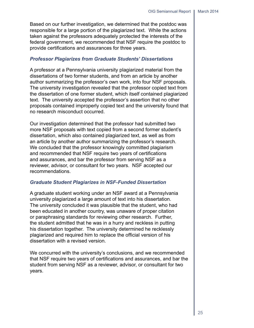Based on our further investigation, we determined that the postdoc was responsible for a large portion of the plagiarized text. While the actions taken against the professors adequately protected the interests of the federal government, we recommended that NSF require the postdoc to provide certifications and assurances for three years.

#### *Professor Plagiarizes from Graduate Students' Dissertations*

A professor at a Pennsylvania university plagiarized material from the dissertations of two former students, and from an article by another author summarizing the professor's own work, into four NSF proposals. The university investigation revealed that the professor copied text from the dissertation of one former student, which itself contained plagiarized text. The university accepted the professor's assertion that no other proposals contained improperly copied text and the university found that no research misconduct occurred.

Our investigation determined that the professor had submitted two more NSF proposals with text copied from a second former student's dissertation, which also contained plagiarized text, as well as from an article by another author summarizing the professor's research. We concluded that the professor knowingly committed plagiarism and recommended that NSF require two years of certifications and assurances, and bar the professor from serving NSF as a reviewer, advisor, or consultant for two years. NSF accepted our recommendations.

# *Graduate Student Plagiarizes in NSF-Funded Dissertation*

A graduate student working under an NSF award at a Pennsylvania university plagiarized a large amount of text into his dissertation. The university concluded it was plausible that the student, who had been educated in another country, was unaware of proper citation or paraphrasing standards for reviewing other research. Further, the student admitted that he was in a hurry and reckless in putting his dissertation together. The university determined he recklessly plagiarized and required him to replace the official version of his dissertation with a revised version.

We concurred with the university's conclusions, and we recommended that NSF require two years of certifications and assurances, and bar the student from serving NSF as a reviewer, advisor, or consultant for two years.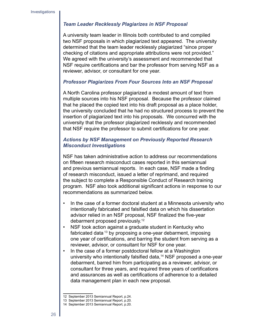# *Team Leader Recklessly Plagiarizes in NSF Proposal*

A university team leader in Illinois both contributed to and compiled two NSF proposals in which plagiarized text appeared. The university determined that the team leader recklessly plagiarized "since proper checking of citations and appropriate attributions were not provided." We agreed with the university's assessment and recommended that NSF require certifications and bar the professor from serving NSF as a reviewer, advisor, or consultant for one year.

# *Professor Plagiarizes From Four Sources Into an NSF Proposal*

A North Carolina professor plagiarized a modest amount of text from multiple sources into his NSF proposal. Because the professor claimed that he placed the copied text into his draft proposal as a place holder, the university concluded that he had no structured process to prevent the insertion of plagiarized text into his proposals. We concurred with the university that the professor plagiarized recklessly and recommended that NSF require the professor to submit certifications for one year.

# *Actions by NSF Management on Previously Reported Research Misconduct Investigations*

NSF has taken administrative action to address our recommendations on fifteen research misconduct cases reported in this semiannual and previous semiannual reports. In each case, NSF made a finding of research misconduct, issued a letter of reprimand, and required the subject to complete a Responsible Conduct of Research training program. NSF also took additional significant actions in response to our recommendations as summarized below.

- In the case of a former doctoral student at a Minnesota university who intentionally fabricated and falsified data on which his dissertation advisor relied in an NSF proposal, NSF finalized the five-year debarment proposed previously.<sup>12</sup>
- NSF took action against a graduate student in Kentucky who fabricated data<sup>13</sup> by proposing a one-year debarment, imposing one year of certifications, and barring the student from serving as a reviewer, advisor, or consultant for NSF for one year.
- In the case of a former postdoctoral fellow at a Washington university who intentionally falsified data,<sup>14</sup> NSF proposed a one-year debarment, barred him from participating as a reviewer, advisor, or consultant for three years, and required three years of certifications and assurances as well as certifications of adherence to a detailed data management plan in each new proposal.

<sup>12</sup> September 2013 Semiannual Report, p.24.

<sup>13</sup> September 2013 Semiannual Report, p.20.

<sup>14</sup> September 2013 Semiannual Report, p.20.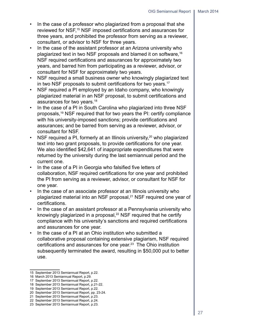- In the case of a professor who plagiarized from a proposal that she reviewed for NSF,15 NSF imposed certifications and assurances for three years, and prohibited the professor from serving as a reviewer, consultant, or advisor to NSF for three years.
- In the case of the assistant professor at an Arizona university who plagiarized text in two NSF proposals and blamed it on software,16 NSF required certifications and assurances for approximately two years, and barred him from participating as a reviewer, advisor, or consultant for NSF for approximately two years.
- NSF required a small business owner who knowingly plagiarized text in two NSF proposals to submit certifications for two years.17
- NSF required a PI employed by an Idaho company, who knowingly plagiarized material in an NSF proposal, to submit certifications and assurances for two years.<sup>18</sup>
- In the case of a PI in South Carolina who plagiarized into three NSF proposals,<sup>19</sup> NSF required that for two years the PI: certify compliance with his university-imposed sanctions; provide certifications and assurances; and be barred from serving as a reviewer, advisor, or consultant for NSF.
- NSF required a PI, formerly at an Illinois university,<sup>20</sup> who plagiarized text into two grant proposals, to provide certifications for one year. We also identified \$42,641 of inappropriate expenditures that were returned by the university during the last semiannual period and the current one.
- In the case of a PI in Georgia who falsified five letters of collaboration, NSF required certifications for one year and prohibited the PI from serving as a reviewer, advisor, or consultant for NSF for one year.
- In the case of an associate professor at an Illinois university who plagiarized material into an NSF proposal,<sup>21</sup> NSF required one year of certifications.
- In the case of an assistant professor at a Pennsylvania university who knowingly plagiarized in a proposal, $22$  NSF required that he certify compliance with his university's sanctions and required certifications and assurances for one year.
- certifications and assurances for one year. $23$  The Ohio institution In the case of a PI at an Ohio institution who submitted a collaborative proposal containing extensive plagiarism, NSF required subsequently terminated the award, resulting in \$50,000 put to better use.

<sup>15</sup> September 2013 Semiannual Report, p.22.

<sup>16</sup> March 2013 Semiannual Report, p.29.

<sup>17</sup> September 2013 Semiannual Report, p.22.

<sup>18</sup> September 2013 Semiannual Report, p.21-22.

<sup>19</sup> September 2013 Semiannual Report, p.22.

<sup>20</sup> September 2013 Semiannual Report, pp. 23-24.

<sup>21</sup> September 2013 Semiannual Report, p.23.

<sup>22</sup> September 2013 Semiannual Report, p.24.

<sup>23</sup> September 2013 Semiannual Report, p.23.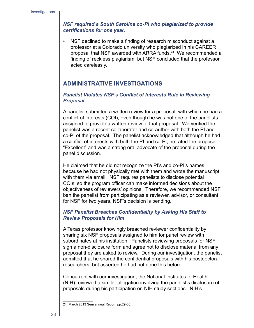# *NSF required a South Carolina co-PI who plagiarized to provide certifications for one year.*

NSF declined to make a finding of research misconduct against a professor at a Colorado university who plagiarized in his CAREER proposal that NSF awarded with ARRA funds.<sup>24</sup> We recommended a finding of reckless plagiarism, but NSF concluded that the professor acted carelessly.

# **ADMINISTRATIVE INVESTIGATIONS**

# *Panelist Violates NSF's Conflict of Interests Rule in Reviewing Proposal*

A panelist submitted a written review for a proposal, with which he had a conflict of interests (COI), even though he was not one of the panelists assigned to provide a written review of that proposal. We verified the panelist was a recent collaborator and co-author with both the PI and co-PI of the proposal. The panelist acknowledged that although he had a conflict of interests with both the PI and co-PI, he rated the proposal "Excellent" and was a strong oral advocate of the proposal during the panel discussion.

 with them via email. NSF requires panelists to disclose potential objectiveness of reviewers' opinions. Therefore, we recommended NSF He claimed that he did not recognize the PI's and co-PI's names because he had not physically met with them and wrote the manuscript COIs, so the program officer can make informed decisions about the ban the panelist from participating as a reviewer, advisor, or consultant for NSF for two years. NSF's decision is pending.

# *NSF Panelist Breaches Confidentiality by Asking His Staff to Review Proposals for Him*

A Texas professor knowingly breached reviewer confidentiality by sharing six NSF proposals assigned to him for panel review with subordinates at his institution. Panelists reviewing proposals for NSF sign a non-disclosure form and agree not to disclose material from any proposal they are asked to review. During our investigation, the panelist admitted that he shared the confidential proposals with his postdoctoral researchers, but asserted he had not done this before.

Concurrent with our investigation, the National Institutes of Health (NIH) reviewed a similar allegation involving the panelist's disclosure of proposals during his participation on NIH study sections. NIH's

<sup>24</sup> March 2013 Semiannual Report, pp.29-30.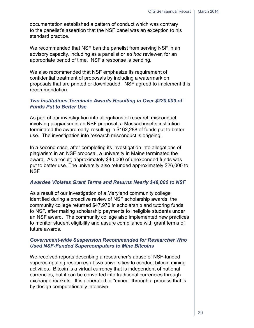documentation established a pattern of conduct which was contrary to the panelist's assertion that the NSF panel was an exception to his standard practice.

We recommended that NSF ban the panelist from serving NSF in an advisory capacity, including as a panelist or *ad hoc* reviewer, for an appropriate period of time. NSF's response is pending.

We also recommended that NSF emphasize its requirement of confidential treatment of proposals by including a watermark on proposals that are printed or downloaded. NSF agreed to implement this recommendation.

#### *Two Institutions Terminate Awards Resulting in Over \$220,000 of Funds Put to Better Use*

As part of our investigation into allegations of research misconduct involving plagiarism in an NSF proposal, a Massachusetts institution terminated the award early, resulting in \$162,288 of funds put to better use. The investigation into research misconduct is ongoing.

In a second case, after completing its investigation into allegations of plagiarism in an NSF proposal, a university in Maine terminated the award. As a result, approximately \$40,000 of unexpended funds was put to better use. The university also refunded approximately \$26,000 to NSF.

# *Awardee Violates Grant Terms and Returns Nearly \$48,000 to NSF*

As a result of our investigation of a Maryland community college identified during a proactive review of NSF scholarship awards, the community college returned \$47,970 in scholarship and tutoring funds to NSF, after making scholarship payments to ineligible students under an NSF award. The community college also implemented new practices to monitor student eligibility and assure compliance with grant terms of future awards.

#### *Government-wide Suspension Recommended for Researcher Who Used NSF-Funded Supercomputers to Mine Bitcoins*

We received reports describing a researcher's abuse of NSF-funded supercomputing resources at two universities to conduct bitcoin mining activities. Bitcoin is a virtual currency that is independent of national currencies, but it can be converted into traditional currencies through exchange markets. It is generated or "mined" through a process that is by design computationally intensive.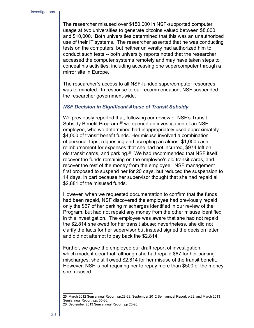The researcher misused over \$150,000 in NSF-supported computer usage at two universities to generate bitcoins valued between \$8,000 and \$10,000. Both universities determined that this was an unauthorized use of their IT systems. The researcher asserted that he was conducting tests on the computers, but neither university had authorized him to conduct such tests -- both university reports noted that the researcher accessed the computer systems remotely and may have taken steps to conceal his activities, including accessing one supercomputer through a mirror site in Europe.

The researcher's access to all NSF-funded supercomputer resources was terminated. In response to our recommendation, NSF suspended the researcher government-wide.

# *NSF Decision in Significant Abuse of Transit Subsidy*

We previously reported that, following our review of NSF's Transit Subsidy Benefit Program,<sup>25</sup> we opened an investigation of an NSF employee, who we determined had inappropriately used approximately \$4,000 of transit benefit funds. Her misuse involved a combination of personal trips, requesting and accepting an almost \$1,000 cash reimbursement for expenses that she had not incurred, \$974 left on old transit cards, and parking.<sup>26</sup> We had recommended that NSF itself recover the funds remaining on the employee's old transit cards, and recover the rest of the money from the employee. NSF management first proposed to suspend her for 20 days, but reduced the suspension to 14 days, in part because her supervisor thought that she had repaid all \$2,881 of the misused funds.

However, when we requested documentation to confirm that the funds had been repaid, NSF discovered the employee had previously repaid only the \$67 of her parking mischarges identified in our review of the Program, but had not repaid any money from the other misuse identified in this investigation. The employee was aware that she had not repaid the \$2,814 she owed for her transit abuse; nevertheless, she did not clarify the facts for her supervisor but instead signed the decision letter and did not attempt to pay back the \$2,814.

Further, we gave the employee our draft report of investigation, which made it clear that, although she had repaid \$67 for her parking mischarges, she still owed \$2,814 for her misuse of the transit benefit. However, NSF is not requiring her to repay more than \$500 of the money she misused.

25 March 2012 Semiannual Report, pp.28-29; September 2012 Semiannual Report, p.29; and March 2013 Semiannual Report, pp. 35-36.

<sup>26</sup> September 2013 Semiannual Report, pp 25-26.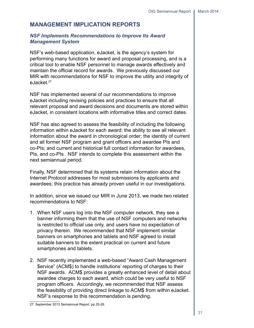# **MANAGEMENT IMPLICATION REPORTS**

# *NSF Implements Recommendations to Improve Its Award Management System*

NSF's web-based application, eJacket, is the agency's system for performing many functions for award and proposal processing, and is a critical tool to enable NSF personnel to manage awards effectively and maintain the official record for awards. We previously discussed our MIR with recommendations for NSF to improve the utility and integrity of eJacket.27

NSF has implemented several of our recommendations to improve eJacket including revising policies and practices to ensure that all relevant proposal and award decisions and documents are stored within eJacket, in consistent locations with informative titles and correct dates.

NSF has also agreed to assess the feasibility of including the following information within eJacket for each award: the ability to see all relevant information about the award in chronological order; the identity of current and all former NSF program and grant officers and awardee PIs and co-PIs; and current and historical full contact information for awardees, PIs, and co-PIs. NSF intends to complete this assessment within the next semiannual period.

Finally, NSF determined that its systems retain information about the Internet Protocol addresses for most submissions by applicants and awardees; this practice has already proven useful in our investigations.

In addition, since we issued our MIR in June 2013, we made two related recommendations to NSF:

- 1. When NSF users log into the NSF computer network, they see a banner informing them that the use of NSF computers and networks is restricted to official use only, and users have no expectation of privacy therein. We recommended that NSF implement similar banners on smartphones and tablets and NSF agreed to install suitable banners to the extent practical on current and future smartphones and tablets.
- 2. NSF recently implemented a web-based "Award Cash Management" \$ervice" (ACM\$) to handle institutions' reporting of charges to their NSF awards. ACM\$ provides a greatly enhanced level of detail about awardee charges to each award, which could be very useful to NSF program officers. Accordingly, we recommended that NSF assess the feasibility of providing direct linkage to ACM\$ from within eJacket. NSF's response to this recommendation is pending.

<sup>27</sup> September 2013 Semiannual Report, pp.25-26.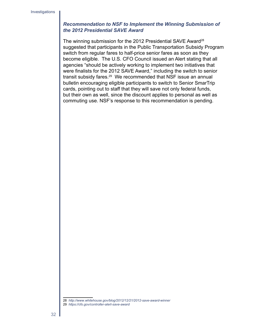# *Recommendation to NSF to Implement the Winning Submission of the 2012 Presidential SAVE Award*

The winning submission for the 2012 Presidential SAVE Award<sup>28</sup> suggested that participants in the Public Transportation Subsidy Program switch from regular fares to half-price senior fares as soon as they become eligible. The U.S. CFO Council issued an Alert stating that all agencies "should be actively working to implement two initiatives that were finalists for the 2012 SAVE Award," including the switch to senior transit subsidy fares.<sup>29</sup> We recommended that NSF issue an annual bulletin encouraging eligible participants to switch to Senior SmarTrip cards, pointing out to staff that they will save not only federal funds, but their own as well, since the discount applies to personal as well as commuting use. NSF's response to this recommendation is pending.

<sup>28</sup> *http://www.whitehouse.gov/blog/2012/12/21/2012-save-award-winner* 

<sup>29</sup> *https://cfo.gov/controller-alert-save-award*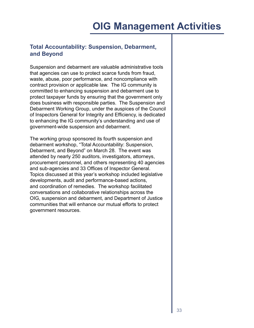# **Total Accountability: Suspension, Debarment, and Beyond**

Suspension and debarment are valuable administrative tools that agencies can use to protect scarce funds from fraud, waste, abuse, poor performance, and noncompliance with contract provision or applicable law. The IG community is committed to enhancing suspension and debarment use to protect taxpayer funds by ensuring that the government only does business with responsible parties. The Suspension and Debarment Working Group, under the auspices of the Council of Inspectors General for Integrity and Efficiency, is dedicated to enhancing the IG community's understanding and use of government-wide suspension and debarment.

The working group sponsored its fourth suspension and debarment workshop, "Total Accountability: Suspension, Debarment, and Beyond" on March 28. The event was attended by nearly 250 auditors, investigators, attorneys, procurement personnel, and others representing 40 agencies and sub-agencies and 33 Offices of Inspector General. Topics discussed at this year's workshop included legislative developments, audit and performance-based actions, and coordination of remedies. The workshop facilitated conversations and collaborative relationships across the OIG, suspension and debarment, and Department of Justice communities that will enhance our mutual efforts to protect government resources.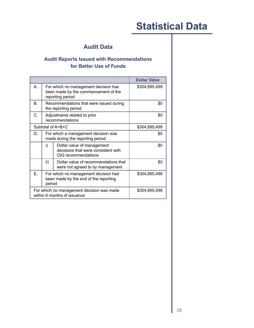# **Statistical Data**

# **Audit Data**

# **Audit Reports Issued with Recommendations for Better Use of Funds**

|                                                                                               |                                                                                                  |                                                                                          | <b>Dollar Value</b> |
|-----------------------------------------------------------------------------------------------|--------------------------------------------------------------------------------------------------|------------------------------------------------------------------------------------------|---------------------|
| $A_{1}$                                                                                       | For which no management decision has<br>been made by the commencement of the<br>reporting period |                                                                                          | \$304,895,499       |
| В.                                                                                            |                                                                                                  | Recommendations that were issued during<br>the reporting period                          | \$0                 |
| C.                                                                                            |                                                                                                  | Adjustments related to prior<br>recommendations                                          | \$0                 |
| Subtotal of A+B+C                                                                             |                                                                                                  | \$304,895,499                                                                            |                     |
| D.                                                                                            | For which a management decision was<br>made during the reporting period                          |                                                                                          | \$0                 |
|                                                                                               | i)                                                                                               | Dollar value of management<br>decisions that were consistent with<br>OIG recommendations | \$0                 |
|                                                                                               | ii)                                                                                              | Dollar value of recommendations that<br>were not agreed to by management                 | \$0                 |
| Е.<br>For which no management decision had<br>been made by the end of the reporting<br>period |                                                                                                  | \$304,895,499                                                                            |                     |
|                                                                                               | For which no management decision was made<br>within 6 months of issuance                         | \$304,895,499                                                                            |                     |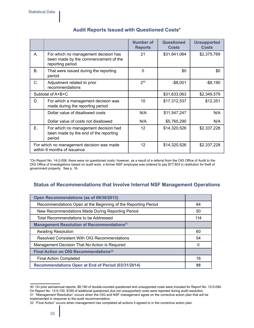|                                                                          |                                                                                                  | <b>Number of</b><br><b>Reports</b> | <b>Questioned</b><br><b>Costs</b> | <b>Unsupported</b><br><b>Costs</b> |
|--------------------------------------------------------------------------|--------------------------------------------------------------------------------------------------|------------------------------------|-----------------------------------|------------------------------------|
| А.                                                                       | For which no management decision has<br>been made by the commencement of the<br>reporting period | 21                                 | \$31,641,064                      | \$2,375,769                        |
| <b>B.</b>                                                                | That were issued during the reporting<br>period                                                  | $\Omega$                           | \$0                               | \$0                                |
| C.                                                                       | Adjustment related to prior<br>recommendations                                                   | $2^{30}$                           | -\$8,001                          | -\$8,190                           |
| Subtotal of A+B+C                                                        |                                                                                                  |                                    | \$31,633,063                      | \$2,349,579                        |
| D.                                                                       | For which a management decision was<br>made during the reporting period                          | 10                                 | \$17,312,537                      | \$12,351                           |
|                                                                          | Dollar value of disallowed costs                                                                 | N/A                                | \$11,547,247                      | N/A                                |
|                                                                          | Dollar value of costs not disallowed                                                             | N/A                                | \$5,765,290                       | N/A                                |
| Е.                                                                       | For which no management decision had<br>been made by the end of the reporting<br>period          | $12 \overline{ }$                  | \$14,320,526                      | \$2,337,228                        |
| For which no management decision was made<br>within 6 months of issuance |                                                                                                  | 12                                 | \$14,320,526                      | \$2,337,228                        |

# **Audit Reports Issued with Questioned Costs\***

\*On Report No. 14-2-006, there were no questioned costs; however, as a result of a referral from the OIG Office of Audit to the OIG Office of Investigations based on audit work, a former NSF employee was ordered to pay \$77,803 in restitution for theft of government property. See p. 16.

# **Status of Recommendations that Involve Internal NSF Management Operations**

| Open Recommendations (as of 09/30/2013)                       |     |
|---------------------------------------------------------------|-----|
| Recommendations Open at the Beginning of the Reporting Period | 64  |
| New Recommendations Made During Reporting Period              | 50  |
| Total Recommendations to be Addressed                         | 114 |
| <b>Management Resolution of Recommendations</b> <sup>31</sup> |     |
| <b>Awaiting Resolution</b>                                    | 60  |
| Resolved Consistent With OIG Recommendations                  | 54  |
| Management Decision That No Action is Required                |     |
| Final Action on OIG Recommendations <sup>32</sup>             |     |
| <b>Final Action Completed</b>                                 | 16  |
| Recommendations Open at End of Period (03/31/2014)            | 98  |

 30 On prior semiannual reports, \$8,190 of double-counted questioned and unsupported costs were included for Report No. 13-5-094. On Report No. 13-5-100, \$189 of additional questioned (but not unsupported) costs were reported during audit resolution. 31 "Management Resolution" occurs when the OIG and NSF management agree on the corrective action plan that will be implemented in response to the audit recommendation.

<sup>32 &</sup>quot;Final Action" occurs when management has completed all actions it agreed to in the corrective action plan.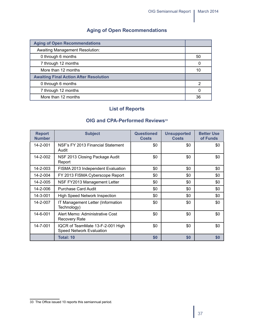# **Aging of Open Recommendations**

| <b>Aging of Open Recommendations</b>          |    |
|-----------------------------------------------|----|
| Awaiting Management Resolution:               |    |
| 0 through 6 months                            | 50 |
| 7 through 12 months                           |    |
| More than 12 months                           | 10 |
| <b>Awaiting Final Action After Resolution</b> |    |
| 0 through 6 months                            | 2  |
| 7 through 12 months                           |    |
| More than 12 months                           | 36 |

#### **List of Reports**

#### **Report Number Subject Questioned Costs Unsupported Costs Better Use of Funds**  14-2-001 NSF's FY 2013 Financial Statement Audit \$0 \ \$0 \ \$0 \$0 14-2-002 | NSF 2013 Closing Package Audit Report \$0 \ \$0 \ \$0 \$0 14-2-003 | FISMA 2013 Independent Evaluation |  $$0$  |  $$0$  | \$0 14-2-004 | FY 2013 FISMA Cyberscope Report | \$0 | \$0 | \$0 | \$0 14-2-005 | NSF FY2013 Management Letter | \$0 | \$0 | \$0 | \$0 14-2-006 Purchase Card Audit 14-2-006 Purchase Card Audit 14-2-006 Purchase Card Audit 14-3-001 | High Speed Network Inspection | \$0 | \$0 | \$0 | \$0 14-2-007 | IT Management Letter (Information Technology) \$0 \ \$0 \ \$0 \$0 14-6-001 | Alert Memo: Administrative Cost Recovery Rate \$0 \ \$0 \ \$0 \$0 14-7-001 IQCR of TeamMate 13-F-2-001 High Speed Network Evaluation \$0 \ \$0 \ \$0 \$0

**Total: 10 \$0** \$0 \$0

# **OIG and CPA-Performed Reviews33**

<sup>33</sup> The Office issued 10 reports this semiannual period.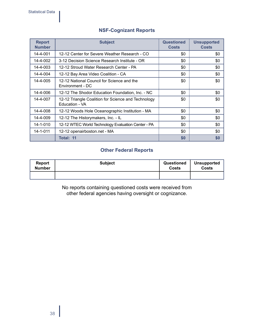I

# **NSF-Cognizant Reports**

| <b>Report</b><br><b>Number</b> | <b>Subject</b>                                                        | <b>Questioned</b><br><b>Costs</b> | <b>Unsupported</b><br><b>Costs</b> |
|--------------------------------|-----------------------------------------------------------------------|-----------------------------------|------------------------------------|
| 14-4-001                       | 12-12 Center for Severe Weather Research - CO                         | \$0                               | \$0                                |
| 14-4-002                       | 3-12 Decision Science Research Institute - OR                         | \$0                               | \$0                                |
| 14-4-003                       | 12-12 Stroud Water Research Center - PA                               | \$0                               | \$0                                |
| 14-4-004                       | 12-12 Bay Area Video Coalition - CA                                   | \$0                               | \$0                                |
| 14-4-005                       | 12-12 National Council for Science and the<br>Environment - DC        | \$0                               | \$0                                |
| 14-4-006                       | 12-12 The Shodor Education Foundation, Inc. - NC                      | \$0                               | \$0                                |
| 14-4-007                       | 12-12 Triangle Coalition for Science and Technology<br>Education - VA | \$0                               | \$0                                |
| 14-4-008                       | 12-12 Woods Hole Oceanographic Institution - MA                       | \$0                               | \$0                                |
| 14-4-009                       | 12-12 The Historymakers, Inc. - IL                                    | \$0                               | \$0                                |
| 14-1-010                       | 12-12 WTEC World Technology Evaluation Center - PA                    | \$0                               | \$0                                |
| 14-1-011                       | 12-12 openairboston.net - MA                                          | \$0                               | \$0                                |
|                                | Total: 11                                                             | \$0                               | \$0                                |

# **Other Federal Reports**

| <b>Report</b> | <b>Subject</b> | Questioned | <b>Unsupported</b> |
|---------------|----------------|------------|--------------------|
| <b>Number</b> |                | Costs      | <b>Costs</b>       |
|               |                |            |                    |

No reports containing questioned costs were received from other federal agencies having oversight or cognizance.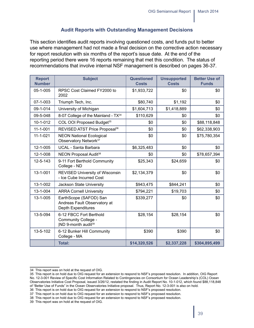# **Audit Reports with Outstanding Management Decisions**

This section identifies audit reports involving questioned costs, and funds put to better use where management had not made a final decision on the corrective action necessary for report resolution with six months of the report's issue date. At the end of the reporting period there were 16 reports remaining that met this condition. The status of recommendations that involve internal NSF management is described on pages 36-37.

| <b>Report</b><br><b>Number</b> | <b>Subject</b>                                                                      | <b>Questioned</b><br><b>Costs</b> | <b>Unsupported</b><br><b>Costs</b> | <b>Better Use of</b><br><b>Funds</b> |
|--------------------------------|-------------------------------------------------------------------------------------|-----------------------------------|------------------------------------|--------------------------------------|
| 05-1-005                       | RPSC Cost Claimed FY2000 to<br>2002                                                 | \$1,933,722                       | \$0                                | \$0                                  |
| 07-1-003                       | Triumph Tech, Inc.                                                                  | \$80,740                          | \$1,192                            | \$0                                  |
| 09-1-014                       | University of Michigan                                                              | \$1,604,713                       | \$1,418,889                        | \$0                                  |
| 09-5-048                       | 8-07 College of the Mainland - TX <sup>34</sup>                                     | \$110,629                         | \$0                                | \$0                                  |
| $10-1-012$                     | COL OOI Proposed Budget <sup>35</sup>                                               | \$0                               | \$0                                | \$88,118,848                         |
| $11 - 1 - 001$                 | REVISED ATST Price Proposal <sup>36</sup>                                           | \$0                               | \$0                                | \$62,338,903                         |
| $11 - 1 - 021$                 | <b>NEON National Ecological</b><br>Observatory Network <sup>37</sup>                | \$0                               | \$0                                | \$75,780,354                         |
| 12-1-005                       | <b>UCAL - Santa Barbara</b>                                                         | \$6,325,483                       | \$0                                | \$0                                  |
| 12-1-008                       | <b>NEON Proposal Audit<sup>38</sup></b>                                             | \$0                               | \$0                                | \$78,657,394                         |
| 12-5-143                       | 9-11 Fort Berthold Community<br>College - ND                                        | \$25,343                          | \$24,659                           | \$0                                  |
| 13-1-001                       | <b>REVISED University of Wisconsin</b><br>- Ice Cube Incurred Cost                  | \$2,134,379                       | \$0                                | \$0                                  |
| 13-1-002                       | Jackson State University                                                            | \$943,475                         | \$844,241                          | \$0                                  |
| 13-1-004                       | <b>ARRA Cornell University</b>                                                      | \$794,221                         | \$19,703                           | \$0                                  |
| 13-1-005                       | EarthScope (SAFOD) San<br>Andreas Fault Observatory at<br><b>Depth Expenditures</b> | \$339,277                         | \$0                                | \$0                                  |
| 13-5-094                       | 6-12 FBCC Fort Berthold<br>Community College -<br>IND 9-month audit <sup>39</sup>   | \$28,154                          | \$28,154                           | \$0                                  |
| 13-5-102                       | 6-12 Bunker Hill Community<br>College - MA                                          | \$390                             | \$390                              | \$0                                  |
|                                | <b>Total:</b>                                                                       | \$14,320,526                      | \$2,337,228                        | \$304,895,499                        |

<sup>34</sup> This report was on hold at the request of OIG.

<sup>35</sup> This report is on hold due to OIG request for an extension to respond to NSF's proposed resolution. In addition, OIG Report No. 12-3-001 Review of Specific Cost Information Related to Contingencies on Consortium for Ocean Leadership's (COL) Ocean Observatories Initiative Cost Proposal, issued 3/26/12, restated the finding in Audit Report No. 10-1-012, which found \$88,118,848 of "Better Use of Funds" in the Ocean Observatories Initiative proposal. Thus, Report No. 12-3-001 is also on hold.

<sup>36</sup> This report is on hold due to OIG request for an extension to respond to NSF's proposed resolution. 

<sup>37</sup> This report is on hold due to OIG request for an extension to respond to NSF's proposed resolution.

<sup>38</sup> This report is on hold due to OIG request for an extension to respond to NSF's proposed resolution.

<sup>39</sup> This report was on hold at the request of OIG.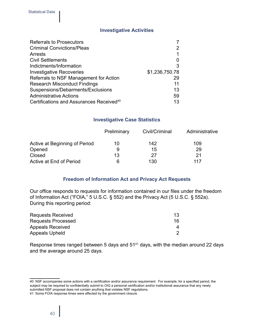#### **Investigative Activities**

| <b>Referrals to Prosecutors</b>                      |                |
|------------------------------------------------------|----------------|
| <b>Criminal Convictions/Pleas</b>                    |                |
| Arrests                                              |                |
| <b>Civil Settlements</b>                             |                |
| Indictments/Information                              |                |
| <b>Investigative Recoveries</b>                      | \$1,236,750.78 |
| Referrals to NSF Management for Action               | 29             |
| <b>Research Misconduct Findings</b>                  | 11             |
| Suspensions/Debarments/Exclusions                    | 13             |
| <b>Administrative Actions</b>                        | 59             |
| Certifications and Assurances Received <sup>40</sup> | 13             |

# **Investigative Case Statistics**

|                               | Preliminary | Civil/Criminal | Administrative |
|-------------------------------|-------------|----------------|----------------|
| Active at Beginning of Period | 10          | 142            | 109            |
| Opened                        | 9           | 15             | 29             |
| Closed                        | 13          | 27             | 21             |
| Active at End of Period       |             | 130            | 117            |

# **Freedom of Information Act and Privacy Act Requests**

Our office responds to requests for information contained in our files under the freedom of Information Act ("FOIA," 5 U.S.C. § 552) and the Privacy Act (5 U.S.C. § 552a). During this reporting period:

| <b>Requests Received</b>  | 13 |
|---------------------------|----|
| <b>Requests Processed</b> | 16 |
| <b>Appeals Received</b>   |    |
| Appeals Upheld            |    |

Response times ranged between 5 days and 5141 days, with the median around 22 days and the average around 25 days.

<sup>40</sup> NSF accompanies some actions with a certification and/or assurance requirement. For example, for a specified period, the subject may be required to confidentially submit to OIG a personal certification and/or institutional assurance that any newly submitted NSF proposal does not contain anything that violates NSF regulations.

<sup>41</sup> Some FOIA response times were affected by the government closure.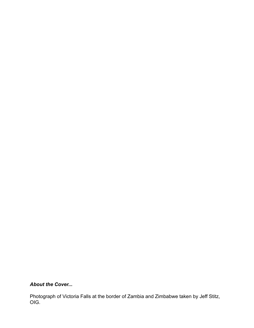# *About the Cover...*

Photograph of Victoria Falls at the border of Zambia and Zimbabwe taken by Jeff Stitz, OIG.